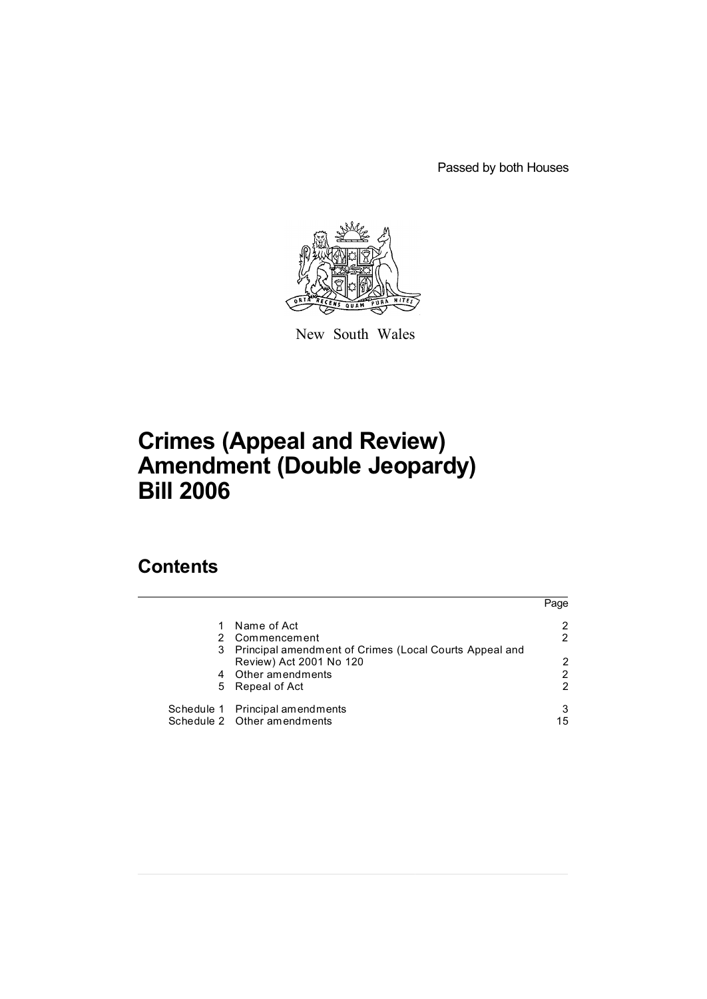Passed by both Houses



New South Wales

# **Crimes (Appeal and Review) Amendment (Double Jeopardy) Bill 2006**

# **Contents**

|   |                                                        | Page |
|---|--------------------------------------------------------|------|
|   | Name of Act                                            |      |
|   | Commencement                                           |      |
| 3 | Principal amendment of Crimes (Local Courts Appeal and |      |
|   | Review) Act 2001 No 120                                | 2    |
| 4 | Other amendments                                       | 2    |
| 5 | Repeal of Act                                          | 2    |
|   | Schedule 1 Principal amendments                        |      |
|   | Schedule 2 Other amendments                            | 15   |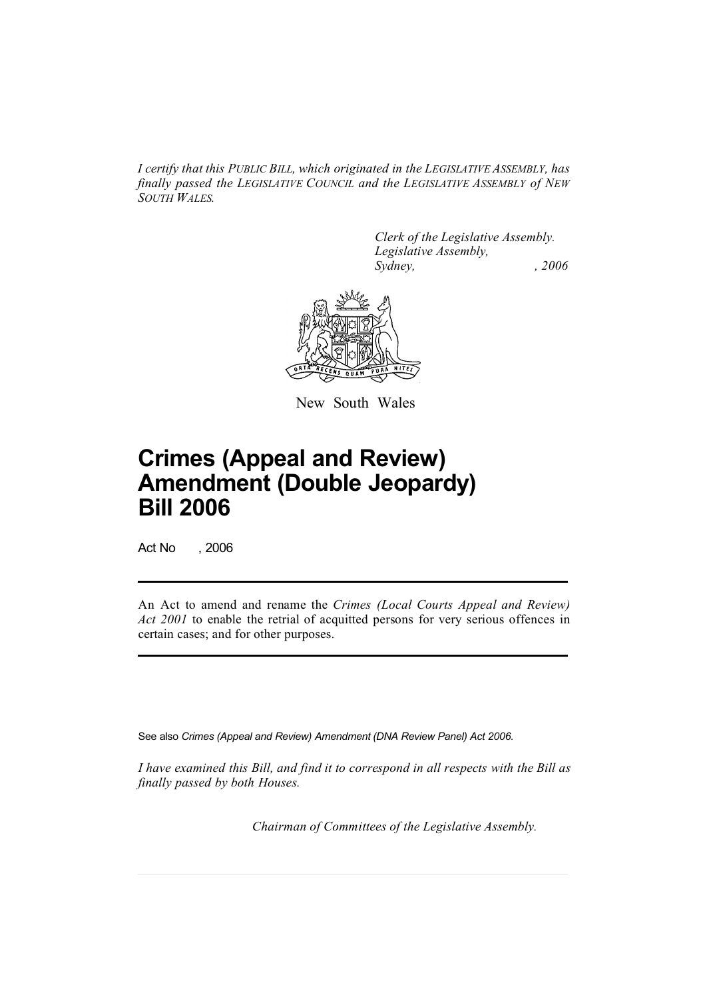*I certify that this PUBLIC BILL, which originated in the LEGISLATIVE ASSEMBLY, has finally passed the LEGISLATIVE COUNCIL and the LEGISLATIVE ASSEMBLY of NEW SOUTH WALES.*

> *Clerk of the Legislative Assembly. Legislative Assembly, Sydney, , 2006*



New South Wales

# **Crimes (Appeal and Review) Amendment (Double Jeopardy) Bill 2006**

Act No , 2006

An Act to amend and rename the *Crimes (Local Courts Appeal and Review) Act 2001* to enable the retrial of acquitted persons for very serious offences in certain cases; and for other purposes.

See also *Crimes (Appeal and Review) Amendment (DNA Review Panel) Act 2006*.

*I have examined this Bill, and find it to correspond in all respects with the Bill as finally passed by both Houses.*

*Chairman of Committees of the Legislative Assembly.*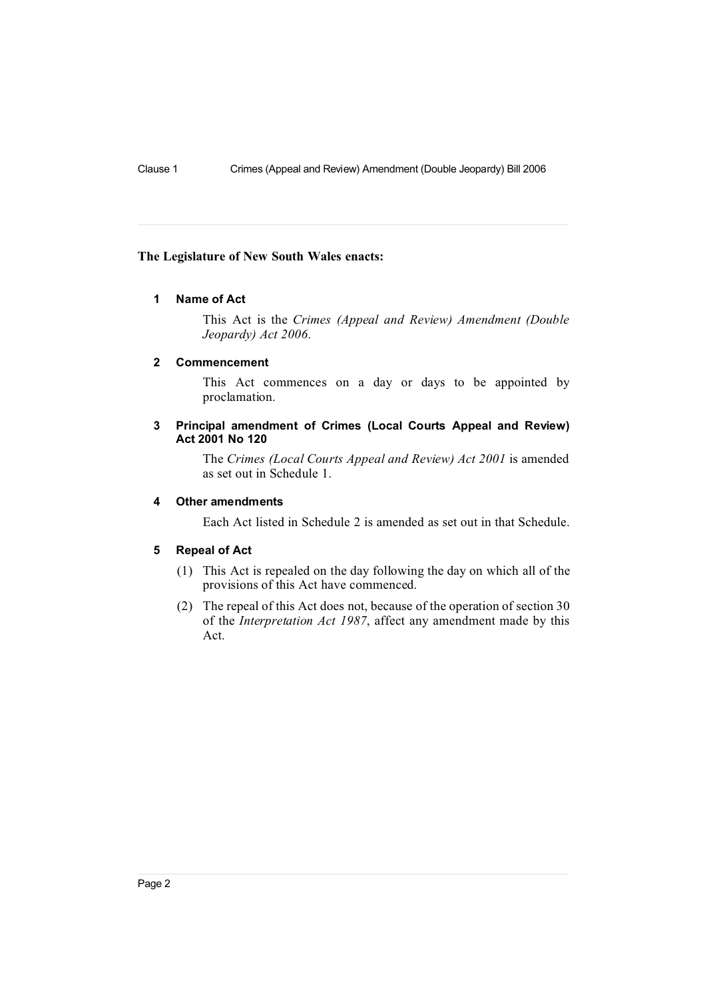#### **The Legislature of New South Wales enacts:**

## **1 Name of Act**

This Act is the *Crimes (Appeal and Review) Amendment (Double Jeopardy) Act 2006*.

#### **2 Commencement**

This Act commences on a day or days to be appointed by proclamation.

## **3 Principal amendment of Crimes (Local Courts Appeal and Review) Act 2001 No 120**

The *Crimes (Local Courts Appeal and Review) Act 2001* is amended as set out in Schedule 1.

## **4 Other amendments**

Each Act listed in Schedule 2 is amended as set out in that Schedule.

#### **5 Repeal of Act**

- (1) This Act is repealed on the day following the day on which all of the provisions of this Act have commenced.
- (2) The repeal of this Act does not, because of the operation of section 30 of the *Interpretation Act 1987*, affect any amendment made by this Act.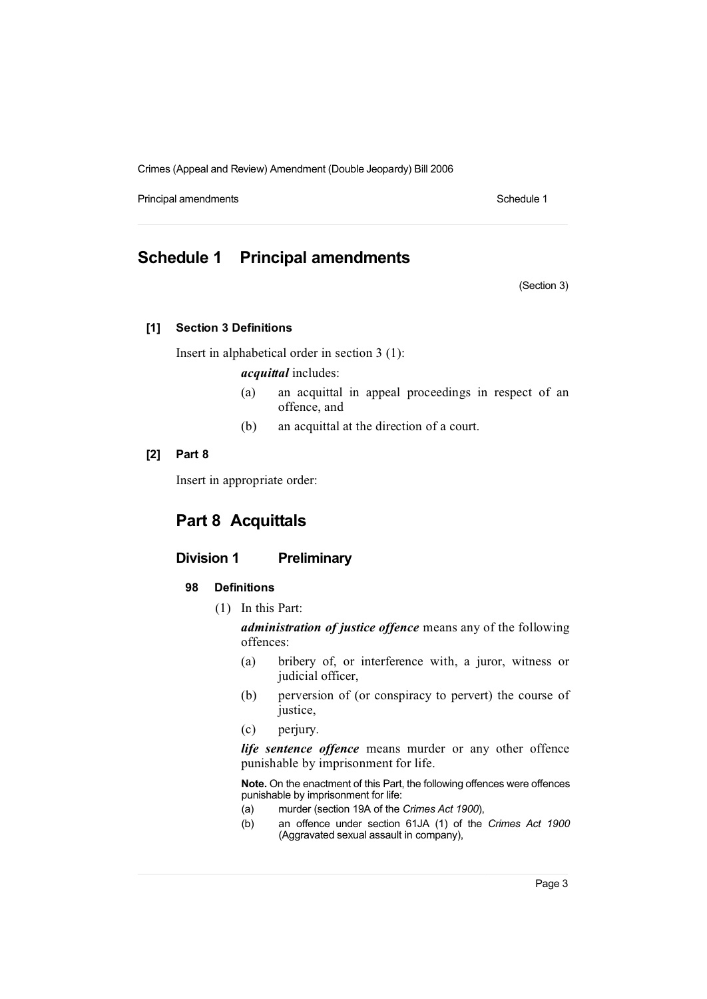Principal amendments **Schedule 1** Schedule 1

## **Schedule 1 Principal amendments**

(Section 3)

## **[1] Section 3 Definitions**

Insert in alphabetical order in section 3 (1):

*acquittal* includes:

- (a) an acquittal in appeal proceedings in respect of an offence, and
- (b) an acquittal at the direction of a court.

## **[2] Part 8**

Insert in appropriate order:

## **Part 8 Acquittals**

## **Division 1 Preliminary**

## **98 Definitions**

(1) In this Part:

*administration of justice offence* means any of the following offences:

- (a) bribery of, or interference with, a juror, witness or judicial officer,
- (b) perversion of (or conspiracy to pervert) the course of justice,
- (c) perjury.

*life sentence offence* means murder or any other offence punishable by imprisonment for life.

**Note.** On the enactment of this Part, the following offences were offences punishable by imprisonment for life:

- (a) murder (section 19A of the *Crimes Act 1900*),
- (b) an offence under section 61JA (1) of the *Crimes Act 1900* (Aggravated sexual assault in company),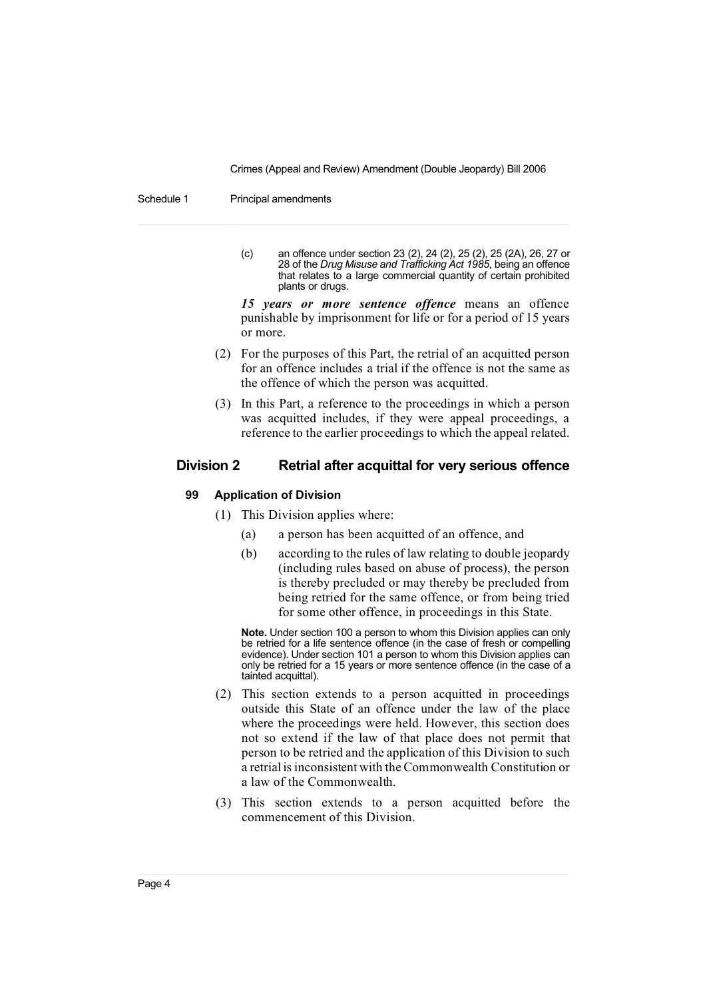Schedule 1 Principal amendments

(c) an offence under section 23 (2), 24 (2), 25 (2), 25 (2A), 26, 27 or 28 of the *Drug Misuse and Trafficking Act 1985*, being an offence that relates to a large commercial quantity of certain prohibited plants or drugs.

*15 years or more sentence offence* means an offence punishable by imprisonment for life or for a period of 15 years or more.

- (2) For the purposes of this Part, the retrial of an acquitted person for an offence includes a trial if the offence is not the same as the offence of which the person was acquitted.
- (3) In this Part, a reference to the proceedings in which a person was acquitted includes, if they were appeal proceedings, a reference to the earlier proceedings to which the appeal related.

## **Division 2 Retrial after acquittal for very serious offence**

### **99 Application of Division**

- (1) This Division applies where:
	- (a) a person has been acquitted of an offence, and
	- (b) according to the rules of law relating to double jeopardy (including rules based on abuse of process), the person is thereby precluded or may thereby be precluded from being retried for the same offence, or from being tried for some other offence, in proceedings in this State.

**Note.** Under section 100 a person to whom this Division applies can only be retried for a life sentence offence (in the case of fresh or compelling evidence). Under section 101 a person to whom this Division applies can only be retried for a 15 years or more sentence offence (in the case of a tainted acquittal).

- (2) This section extends to a person acquitted in proceedings outside this State of an offence under the law of the place where the proceedings were held. However, this section does not so extend if the law of that place does not permit that person to be retried and the application of this Division to such  $\alpha$  retrial is inconsistent with the Commonwealth Constitution or a law of the Commonwealth.
- (3) This section extends to a person acquitted before the commencement of this Division.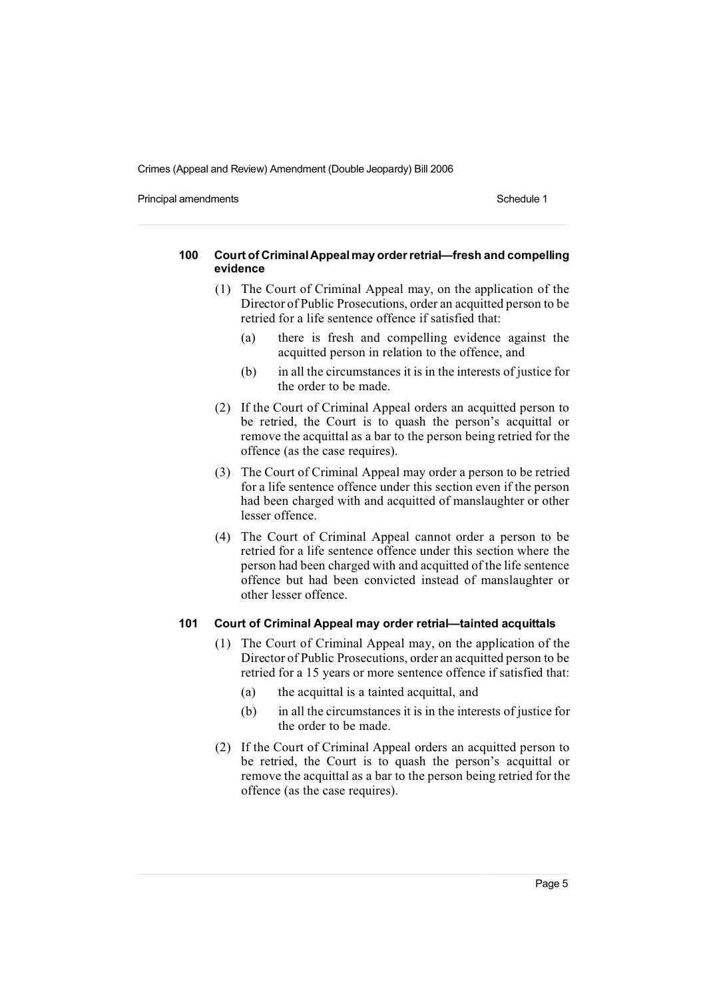Principal amendments **Schedule 1** Schedule 1

#### **100 Court of CriminalAppealmay orderretrial—fresh and compelling evidence**

- (1) The Court of Criminal Appeal may, on the application of the Director of Public Prosecutions, order an acquitted person to be retried for a life sentence offence if satisfied that:
	- (a) there is fresh and compelling evidence against the acquitted person in relation to the offence, and
	- (b) in all the circumstances it is in the interests of justice for the order to be made.
- (2) If the Court of Criminal Appeal orders an acquitted person to be retried, the Court is to quash the person's acquittal or remove the acquittal as a bar to the person being retried for the offence (as the case requires).
- (3) The Court of Criminal Appeal may order a person to be retried for a life sentence offence under this section even if the person had been charged with and acquitted of manslaughter or other lesser offence.
- (4) The Court of Criminal Appeal cannot order a person to be retried for a life sentence offence under this section where the person had been charged with and acquitted of the life sentence offence but had been convicted instead of manslaughter or other lesser offence.

## **101 Court of Criminal Appeal may order retrial—tainted acquittals**

- (1) The Court of Criminal Appeal may, on the application of the Director of Public Prosecutions, order an acquitted person to be retried for a 15 years or more sentence offence if satisfied that:
	- (a) the acquittal is a tainted acquittal, and
	- (b) in all the circumstances it is in the interests of justice for the order to be made.
- (2) If the Court of Criminal Appeal orders an acquitted person to be retried, the Court is to quash the person's acquittal or remove the acquittal as a bar to the person being retried for the offence (as the case requires).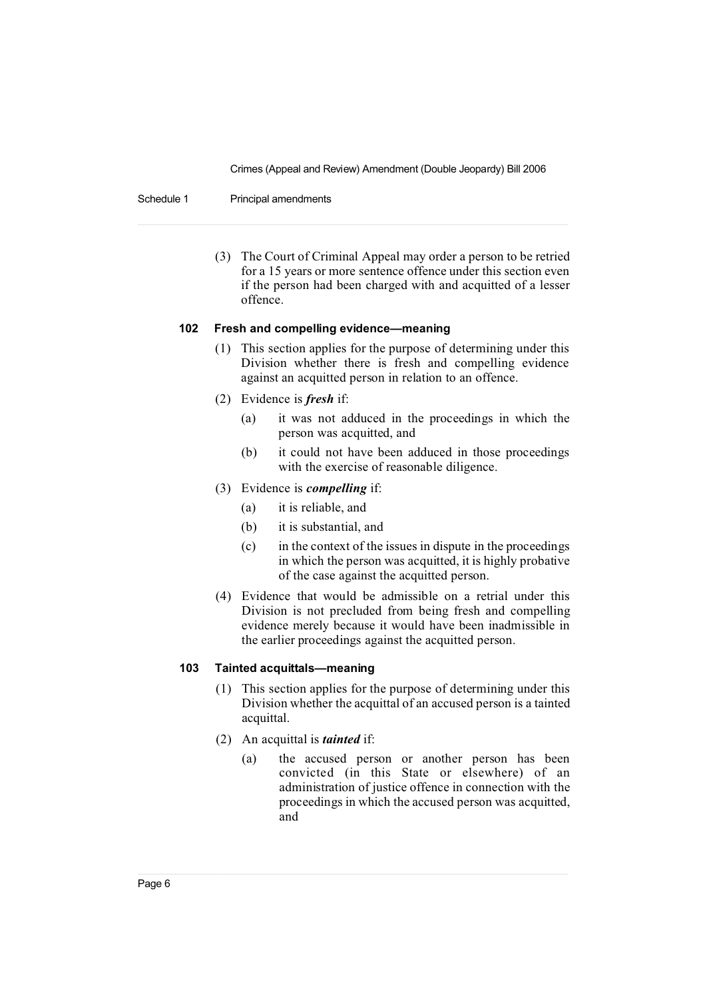Schedule 1 Principal amendments

(3) The Court of Criminal Appeal may order a person to be retried for a 15 years or more sentence offence under this section even if the person had been charged with and acquitted of a lesser offence.

## **102 Fresh and compelling evidence—meaning**

- (1) This section applies for the purpose of determining under this Division whether there is fresh and compelling evidence against an acquitted person in relation to an offence.
- (2) Evidence is *fresh* if:
	- (a) it was not adduced in the proceedings in which the person was acquitted, and
	- (b) it could not have been adduced in those proceedings with the exercise of reasonable diligence.
- (3) Evidence is *compelling* if:
	- (a) it is reliable, and
	- (b) it is substantial, and
	- (c) in the context of the issues in dispute in the proceedings in which the person was acquitted, it is highly probative of the case against the acquitted person.
- (4) Evidence that would be admissible on a retrial under this Division is not precluded from being fresh and compelling evidence merely because it would have been inadmissible in the earlier proceedings against the acquitted person.

## **103 Tainted acquittals—meaning**

- (1) This section applies for the purpose of determining under this Division whether the acquittal of an accused person is a tainted acquittal.
- (2) An acquittal is *tainted* if:
	- (a) the accused person or another person has been convicted (in this State or elsewhere) of an administration of justice offence in connection with the proceedings in which the accused person was acquitted, and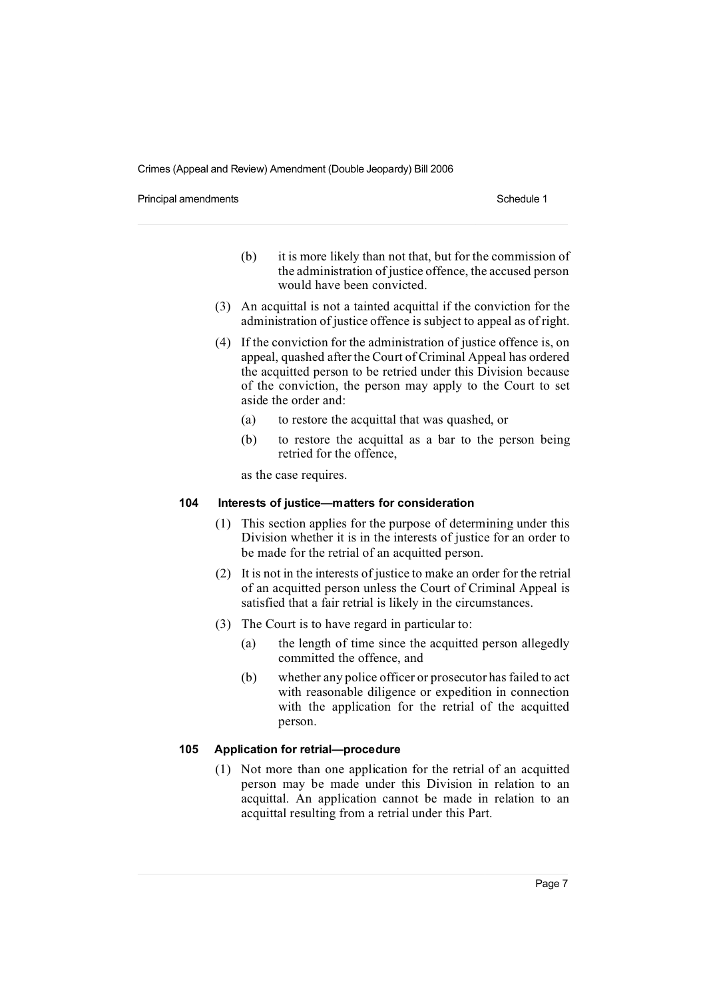Principal amendments **Schedule 1** Schedule 1

- (b) it is more likely than not that, but for the commission of the administration of justice offence, the accused person would have been convicted.
- (3) An acquittal is not a tainted acquittal if the conviction for the administration of justice offence is subject to appeal as of right.
- (4) If the conviction for the administration of justice offence is, on appeal, quashed after the Court of Criminal Appeal has ordered the acquitted person to be retried under this Division because of the conviction, the person may apply to the Court to set aside the order and:
	- (a) to restore the acquittal that was quashed, or
	- (b) to restore the acquittal as a bar to the person being retried for the offence,

as the case requires.

## **104 Interests of justice—matters for consideration**

- (1) This section applies for the purpose of determining under this Division whether it is in the interests of justice for an order to be made for the retrial of an acquitted person.
- (2) It is not in the interests of justice to make an order for the retrial of an acquitted person unless the Court of Criminal Appeal is satisfied that a fair retrial is likely in the circumstances.
- (3) The Court is to have regard in particular to:
	- (a) the length of time since the acquitted person allegedly committed the offence, and
	- (b) whether any police officer or prosecutor has failed to act with reasonable diligence or expedition in connection with the application for the retrial of the acquitted person.

## **105 Application for retrial—procedure**

(1) Not more than one application for the retrial of an acquitted person may be made under this Division in relation to an acquittal. An application cannot be made in relation to an acquittal resulting from a retrial under this Part.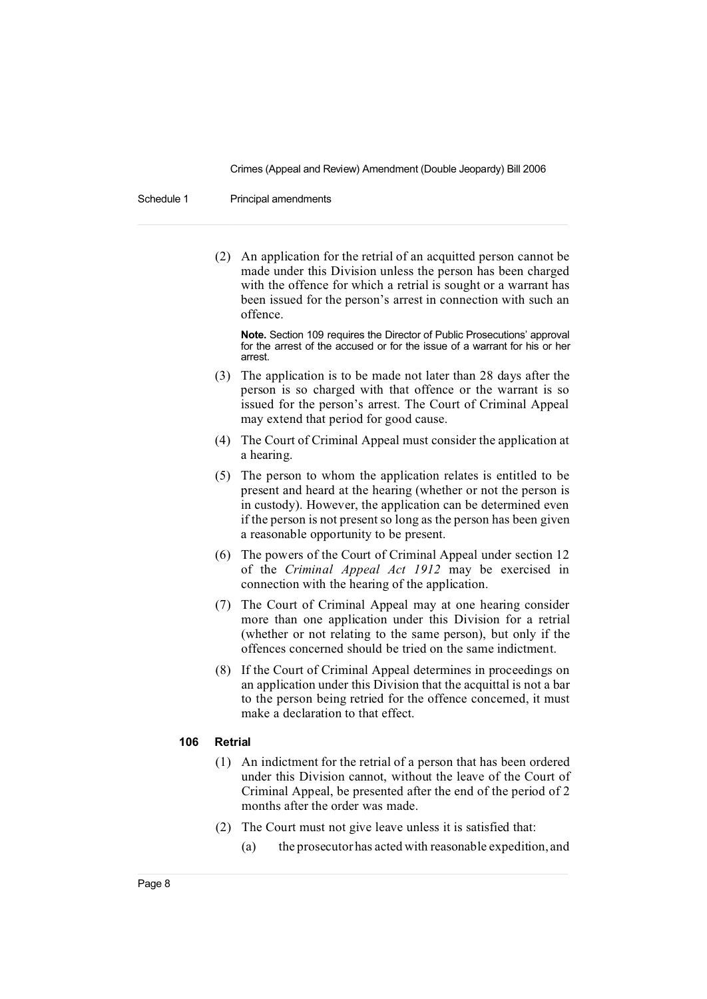Schedule 1 Principal amendments

(2) An application for the retrial of an acquitted person cannot be made under this Division unless the person has been charged with the offence for which a retrial is sought or a warrant has been issued for the person's arrest in connection with such an offence.

**Note.** Section 109 requires the Director of Public Prosecutions' approval for the arrest of the accused or for the issue of a warrant for his or her arrest.

- (3) The application is to be made not later than 28 days after the person is so charged with that offence or the warrant is so issued for the person's arrest. The Court of Criminal Appeal may extend that period for good cause.
- (4) The Court of Criminal Appeal must consider the application at a hearing.
- (5) The person to whom the application relates is entitled to be present and heard at the hearing (whether or not the person is in custody). However, the application can be determined even if the person is not present so long as the person has been given a reasonable opportunity to be present.
- (6) The powers of the Court of Criminal Appeal under section 12 of the *Criminal Appeal Act 1912* may be exercised in connection with the hearing of the application.
- (7) The Court of Criminal Appeal may at one hearing consider more than one application under this Division for a retrial (whether or not relating to the same person), but only if the offences concerned should be tried on the same indictment.
- (8) If the Court of Criminal Appeal determines in proceedings on an application under this Division that the acquittal is not a bar to the person being retried for the offence concerned, it must make a declaration to that effect.

#### **106 Retrial**

- (1) An indictment for the retrial of a person that has been ordered under this Division cannot, without the leave of the Court of Criminal Appeal, be presented after the end of the period of 2 months after the order was made.
- (2) The Court must not give leave unless it is satisfied that:
	- (a) the prosecutor has acted with reasonable expedition, and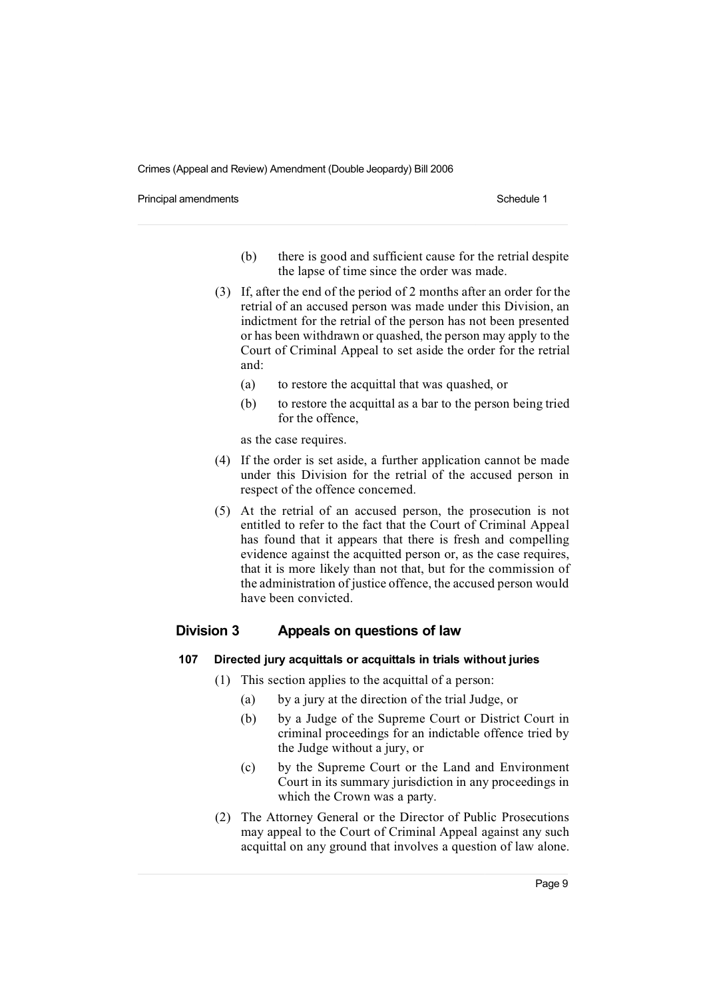Principal amendments **Schedule 1** and the state of the state of the Schedule 1

- (b) there is good and sufficient cause for the retrial despite the lapse of time since the order was made.
- (3) If, after the end of the period of 2 months after an order for the retrial of an accused person was made under this Division, an indictment for the retrial of the person has not been presented or has been withdrawn or quashed, the person may apply to the Court of Criminal Appeal to set aside the order for the retrial and:
	- (a) to restore the acquittal that was quashed, or
	- (b) to restore the acquittal as a bar to the person being tried for the offence,

as the case requires.

- (4) If the order is set aside, a further application cannot be made under this Division for the retrial of the accused person in respect of the offence concerned.
- (5) At the retrial of an accused person, the prosecution is not entitled to refer to the fact that the Court of Criminal Appeal has found that it appears that there is fresh and compelling evidence against the acquitted person or, as the case requires, that it is more likely than not that, but for the commission of the administration of justice offence, the accused person would have been convicted.

## **Division 3 Appeals on questions of law**

#### **107 Directed jury acquittals or acquittals in trials without juries**

- (1) This section applies to the acquittal of a person:
	- (a) by a jury at the direction of the trial Judge, or
	- (b) by a Judge of the Supreme Court or District Court in criminal proceedings for an indictable offence tried by the Judge without a jury, or
	- (c) by the Supreme Court or the Land and Environment Court in its summary jurisdiction in any proceedings in which the Crown was a party.
- (2) The Attorney General or the Director of Public Prosecutions may appeal to the Court of Criminal Appeal against any such acquittal on any ground that involves a question of law alone.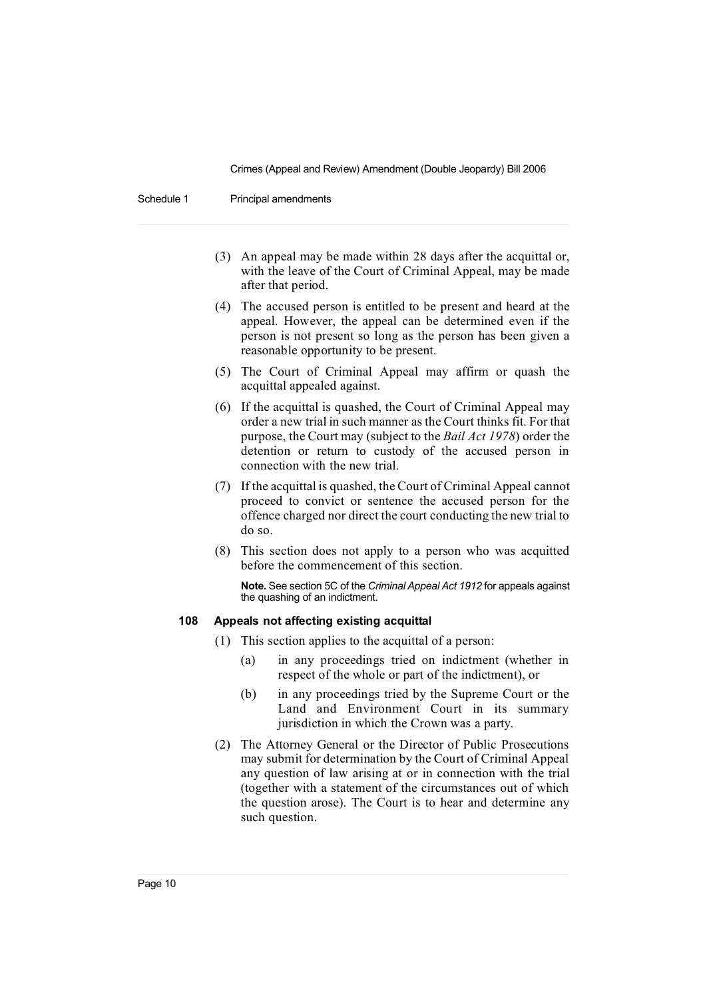Schedule 1 Principal amendments

- (3) An appeal may be made within 28 days after the acquittal or, with the leave of the Court of Criminal Appeal, may be made after that period.
- (4) The accused person is entitled to be present and heard at the appeal. However, the appeal can be determined even if the person is not present so long as the person has been given a reasonable opportunity to be present.
- (5) The Court of Criminal Appeal may affirm or quash the acquittal appealed against.
- (6) If the acquittal is quashed, the Court of Criminal Appeal may order a new trial in such manner as the Court thinks fit. For that purpose, the Court may (subject to the *Bail Act 1978*) order the detention or return to custody of the accused person in connection with the new trial.
- (7) If the acquittal is quashed, the Court of Criminal Appeal cannot proceed to convict or sentence the accused person for the offence charged nor direct the court conducting the new trial to do so.
- (8) This section does not apply to a person who was acquitted before the commencement of this section.

**Note.** See section 5C of the *Criminal Appeal Act 1912* for appeals against the quashing of an indictment.

## **108 Appeals not affecting existing acquittal**

- (1) This section applies to the acquittal of a person:
	- (a) in any proceedings tried on indictment (whether in respect of the whole or part of the indictment), or
	- (b) in any proceedings tried by the Supreme Court or the Land and Environment Court in its summary jurisdiction in which the Crown was a party.
- (2) The Attorney General or the Director of Public Prosecutions may submit for determination by the Court of Criminal Appeal any question of law arising at or in connection with the trial (together with a statement of the circumstances out of which the question arose). The Court is to hear and determine any such question.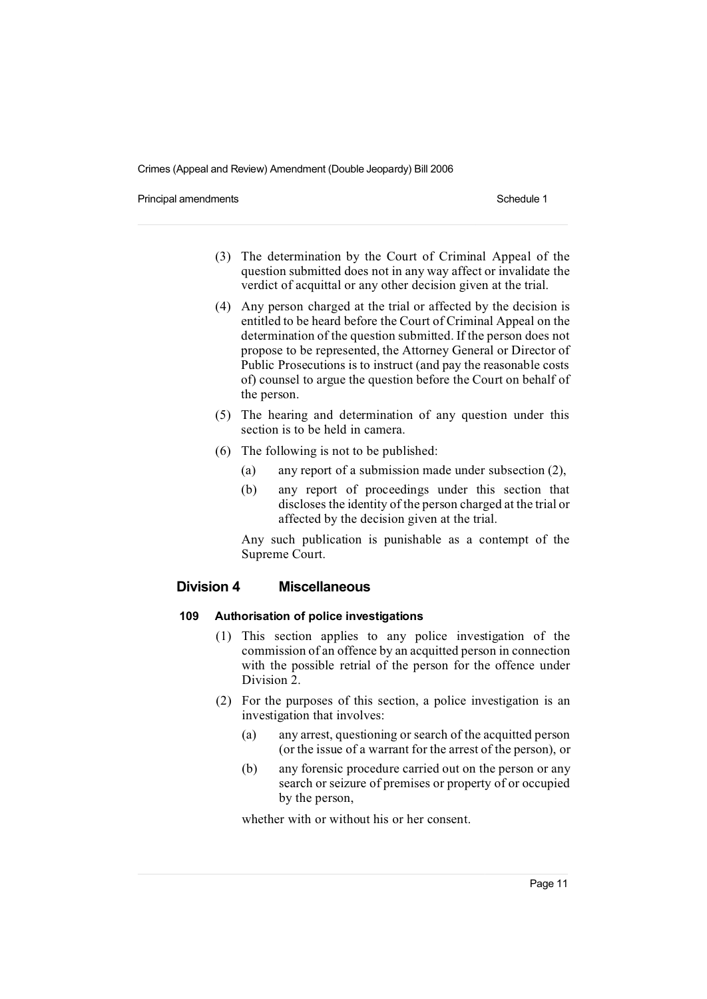Principal amendments **Schedule 1** Schedule 1

- (3) The determination by the Court of Criminal Appeal of the question submitted does not in any way affect or invalidate the verdict of acquittal or any other decision given at the trial.
- (4) Any person charged at the trial or affected by the decision is entitled to be heard before the Court of Criminal Appeal on the determination of the question submitted. If the person does not propose to be represented, the Attorney General or Director of Public Prosecutions is to instruct (and pay the reasonable costs of) counsel to argue the question before the Court on behalf of the person.
- (5) The hearing and determination of any question under this section is to be held in camera.
- (6) The following is not to be published:
	- (a) any report of a submission made under subsection (2),
	- (b) any report of proceedings under this section that discloses the identity of the person charged at the trial or affected by the decision given at the trial.

Any such publication is punishable as a contempt of the Supreme Court.

## **Division 4 Miscellaneous**

### **109 Authorisation of police investigations**

- (1) This section applies to any police investigation of the commission of an offence by an acquitted person in connection with the possible retrial of the person for the offence under Division 2.
- (2) For the purposes of this section, a police investigation is an investigation that involves:
	- (a) any arrest, questioning or search of the acquitted person (or the issue of a warrant for the arrest of the person), or
	- (b) any forensic procedure carried out on the person or any search or seizure of premises or property of or occupied by the person,

whether with or without his or her consent.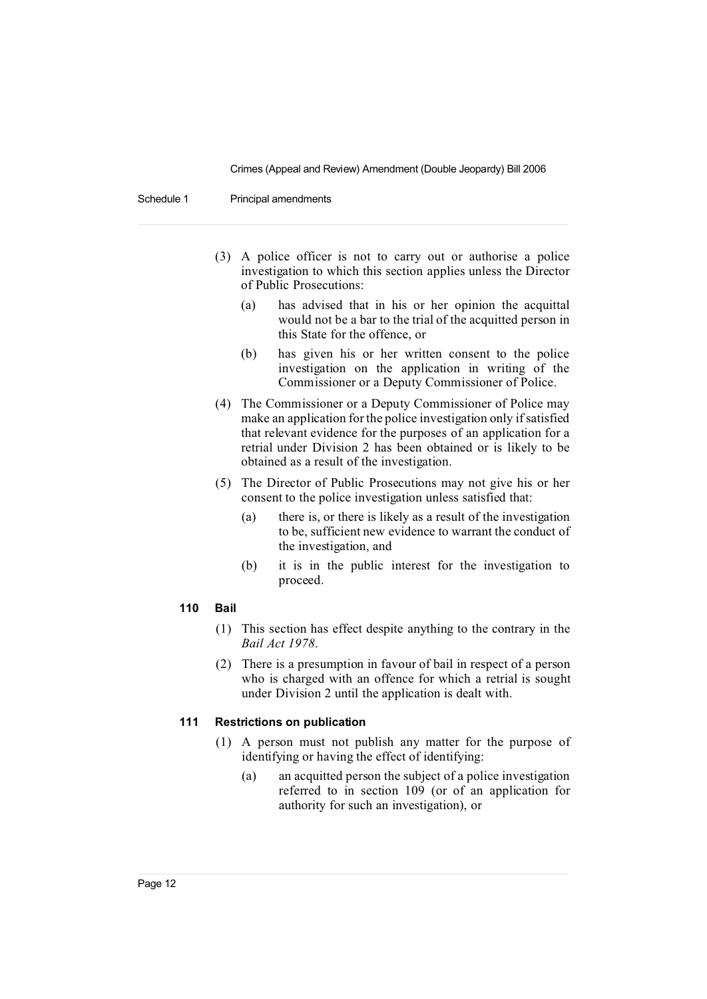Schedule 1 Principal amendments

- (3) A police officer is not to carry out or authorise a police investigation to which this section applies unless the Director of Public Prosecutions:
	- (a) has advised that in his or her opinion the acquittal would not be a bar to the trial of the acquitted person in this State for the offence, or
	- (b) has given his or her written consent to the police investigation on the application in writing of the Commissioner or a Deputy Commissioner of Police.
- (4) The Commissioner or a Deputy Commissioner of Police may make an application for the police investigation only if satisfied that relevant evidence for the purposes of an application for a retrial under Division 2 has been obtained or is likely to be obtained as a result of the investigation.
- (5) The Director of Public Prosecutions may not give his or her consent to the police investigation unless satisfied that:
	- (a) there is, or there is likely as a result of the investigation to be, sufficient new evidence to warrant the conduct of the investigation, and
	- (b) it is in the public interest for the investigation to proceed.

#### **110 Bail**

- (1) This section has effect despite anything to the contrary in the *Bail Act 1978*.
- (2) There is a presumption in favour of bail in respect of a person who is charged with an offence for which a retrial is sought under Division 2 until the application is dealt with.

#### **111 Restrictions on publication**

- (1) A person must not publish any matter for the purpose of identifying or having the effect of identifying:
	- (a) an acquitted person the subject of a police investigation referred to in section 109 (or of an application for authority for such an investigation), or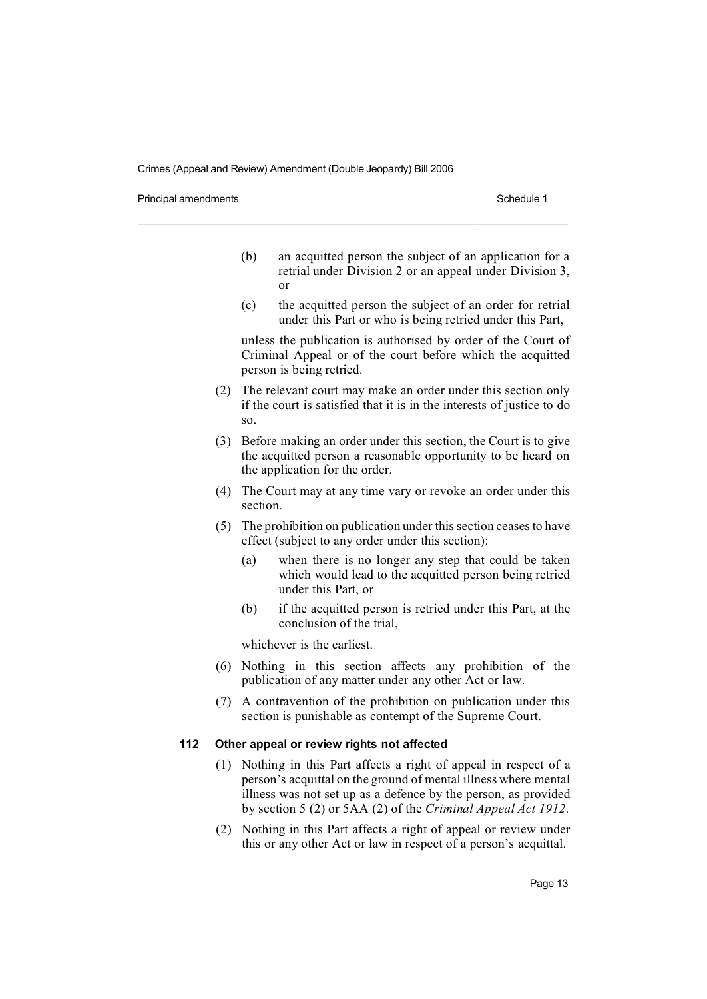Principal amendments **Schedule 1** Schedule 1

- (b) an acquitted person the subject of an application for a retrial under Division 2 or an appeal under Division 3, or
- (c) the acquitted person the subject of an order for retrial under this Part or who is being retried under this Part,

unless the publication is authorised by order of the Court of Criminal Appeal or of the court before which the acquitted person is being retried.

- (2) The relevant court may make an order under this section only if the court is satisfied that it is in the interests of justice to do so.
- (3) Before making an order under this section, the Court is to give the acquitted person a reasonable opportunity to be heard on the application for the order.
- (4) The Court may at any time vary or revoke an order under this section.
- (5) The prohibition on publication under thissection ceasesto have effect (subject to any order under this section):
	- (a) when there is no longer any step that could be taken which would lead to the acquitted person being retried under this Part, or
	- (b) if the acquitted person is retried under this Part, at the conclusion of the trial,

whichever is the earliest.

- (6) Nothing in this section affects any prohibition of the publication of any matter under any other Act or law.
- (7) A contravention of the prohibition on publication under this section is punishable as contempt of the Supreme Court.

#### **112 Other appeal or review rights not affected**

- (1) Nothing in this Part affects a right of appeal in respect of a person's acquittal on the ground of mental illness where mental illness was not set up as a defence by the person, as provided by section 5 (2) or 5AA (2) of the *Criminal Appeal Act 1912*.
- (2) Nothing in this Part affects a right of appeal or review under this or any other Act or law in respect of a person's acquittal.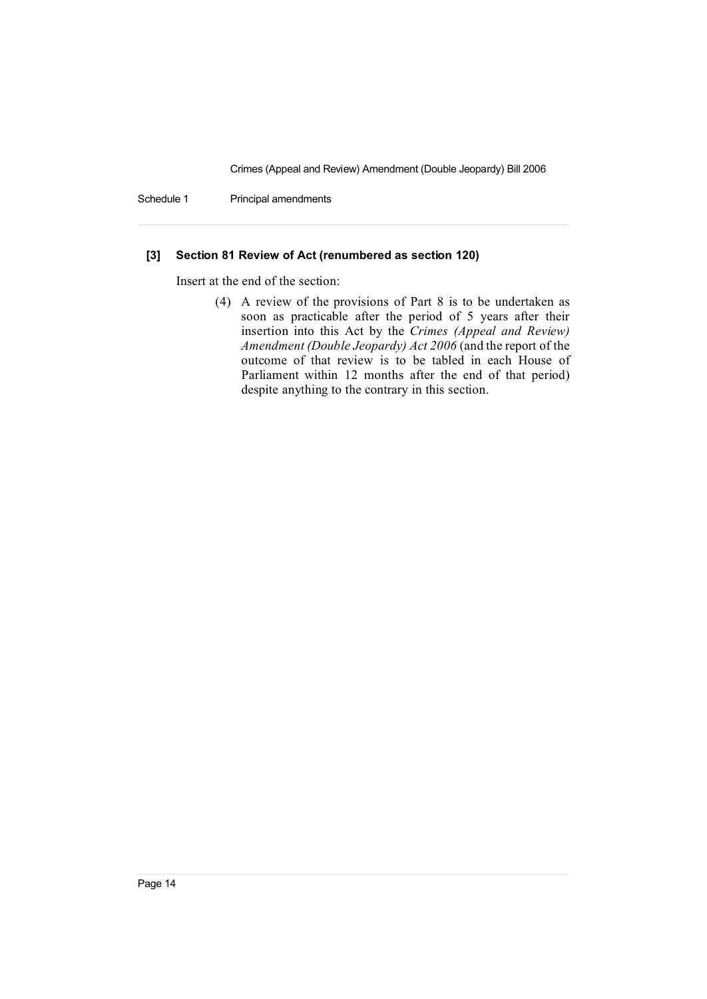Schedule 1 Principal amendments

## **[3] Section 81 Review of Act (renumbered as section 120)**

Insert at the end of the section:

(4) A review of the provisions of Part 8 is to be undertaken as soon as practicable after the period of 5 years after their insertion into this Act by the *Crimes (Appeal and Review) Amendment (Double Jeopardy) Act 2006* (and the report of the outcome of that review is to be tabled in each House of Parliament within 12 months after the end of that period) despite anything to the contrary in this section.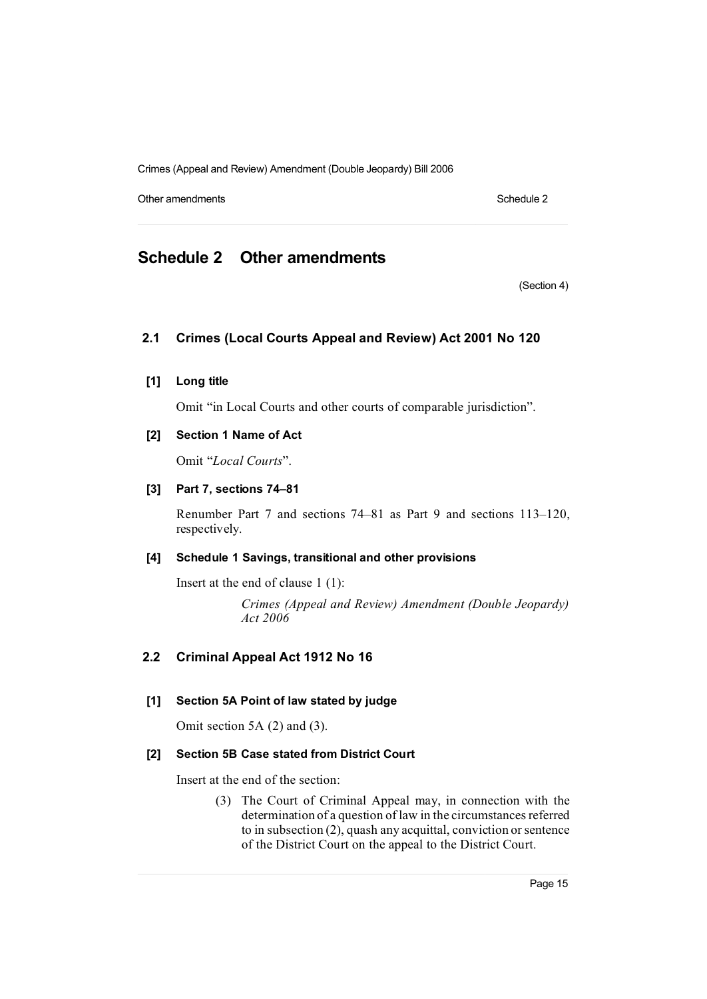Other amendments **Schedule 2** Schedule 2

## **Schedule 2 Other amendments**

(Section 4)

## **2.1 Crimes (Local Courts Appeal and Review) Act 2001 No 120**

**[1] Long title**

Omit "in Local Courts and other courts of comparable jurisdiction".

## **[2] Section 1 Name of Act**

Omit "*Local Courts*".

#### **[3] Part 7, sections 74–81**

Renumber Part 7 and sections 74–81 as Part 9 and sections 113–120, respectively.

## **[4] Schedule 1 Savings, transitional and other provisions**

Insert at the end of clause 1 (1):

*Crimes (Appeal and Review) Amendment (Double Jeopardy) Act 2006*

## **2.2 Criminal Appeal Act 1912 No 16**

## **[1] Section 5A Point of law stated by judge**

Omit section 5A (2) and (3).

## **[2] Section 5B Case stated from District Court**

Insert at the end of the section:

(3) The Court of Criminal Appeal may, in connection with the determination of a question of law in the circumstances referred to in subsection (2), quash any acquittal, conviction orsentence of the District Court on the appeal to the District Court.